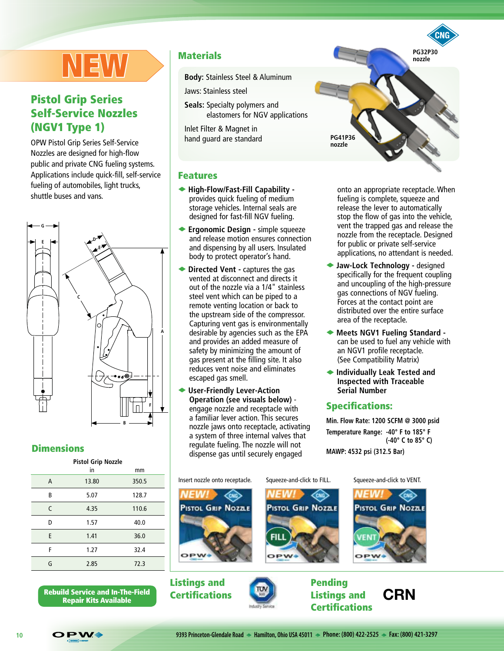# IEW

# Pistol Grip Series Self-Service Nozzles (NGV1 Type 1)

OPW Pistol Grip Series Self-Service Nozzles are designed for high-flow public and private CNG fueling systems. Applications include quick-fill, self-service fueling of automobiles, light trucks, shuttle buses and vans.



#### **Dimensions**

| <b>Pistol Grip Nozzle</b> |       |       |  |  |  |
|---------------------------|-------|-------|--|--|--|
|                           | in    | mm    |  |  |  |
| A                         | 13.80 | 350.5 |  |  |  |
| B                         | 5.07  | 128.7 |  |  |  |
| C                         | 4.35  | 110.6 |  |  |  |
| D                         | 1.57  | 40.0  |  |  |  |
| E                         | 1.41  | 36.0  |  |  |  |
| F                         | 1.27  | 32.4  |  |  |  |
| G                         | 2.85  | 72.3  |  |  |  |

Rebuild Service and In-The-Field **Certifications Repair Kits Available** Certifications Repair Kits Available

#### **Materials**

**Body:** Stainless Steel & Aluminum

Jaws: Stainless steel

**Seals:** Specialty polymers and elastomers for NGV applications

Inlet Filter & Magnet in hand guard are standard

#### Features

- u **High-Flow/Fast-Fill Capability**  provides quick fueling of medium storage vehicles. Internal seals are designed for fast-fill NGV fueling.
- ◆ Ergonomic Design simple squeeze and release motion ensures connection and dispensing by all users. Insulated body to protect operator's hand.
- **Directed Vent captures the gas** vented at disconnect and directs it out of the nozzle via a 1/4" stainless steel vent which can be piped to a remote venting location or back to the upstream side of the compressor. Capturing vent gas is environmentally desirable by agencies such as the EPA and provides an added measure of safety by minimizing the amount of gas present at the filling site. It also reduces vent noise and eliminates escaped gas smell.
- u **User-Friendly Lever-Action Operation (see visuals below)** engage nozzle and receptacle with a familiar lever action. This secures nozzle jaws onto receptacle, activating a system of three internal valves that regulate fueling. The nozzle will not dispense gas until securely engaged

onto an appropriate receptacle. When fueling is complete, squeeze and release the lever to automatically stop the flow of gas into the vehicle, vent the trapped gas and release the nozzle from the receptacle. Designed for public or private self-service applications, no attendant is needed.

**PG32P30 nozzle**

- ◆ Jaw-Lock Technology designed specifically for the frequent coupling and uncoupling of the high-pressure gas connections of NGV fueling. Forces at the contact point are distributed over the entire surface area of the receptacle.
- u **Meets NGV1 Fueling Standard**  can be used to fuel any vehicle with an NGV1 profile receptacle. (See Compatibility Matrix)
- ◆ Individually Leak Tested and **Inspected with Traceable Serial Number**

#### Specifications:

**PG41P36 nozzle**

**Min. Flow Rate: 1200 SCFM @ 3000 psid Temperature Range: -40° F to 185° F (-40° C to 85° C)**

PISTOL GRIP NOZZLE

**MAWP: 4532 psi (312.5 Bar)**







Listings and **Certifications** 



Pending